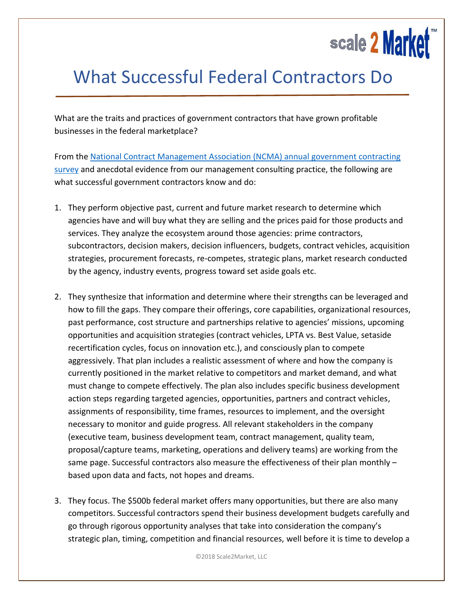## scale 2 Market

## What Successful Federal Contractors Do

What are the traits and practices of government contractors that have grown profitable businesses in the federal marketplace?

From the [National Contract Management Association \(NCMA\) annual government contracting](http://www.ncmahq.org/docs/default-source/default-document-library/pdfs/exec16---book---annual-review-of-government-contracting_lowres)  [survey](http://www.ncmahq.org/docs/default-source/default-document-library/pdfs/exec16---book---annual-review-of-government-contracting_lowres) and anecdotal evidence from our management consulting practice, the following are what successful government contractors know and do:

- 1. They perform objective past, current and future market research to determine which agencies have and will buy what they are selling and the prices paid for those products and services. They analyze the ecosystem around those agencies: prime contractors, subcontractors, decision makers, decision influencers, budgets, contract vehicles, acquisition strategies, procurement forecasts, re-competes, strategic plans, market research conducted by the agency, industry events, progress toward set aside goals etc.
- 2. They synthesize that information and determine where their strengths can be leveraged and how to fill the gaps. They compare their offerings, core capabilities, organizational resources, past performance, cost structure and partnerships relative to agencies' missions, upcoming opportunities and acquisition strategies (contract vehicles, LPTA vs. Best Value, setaside recertification cycles, focus on innovation etc.), and consciously plan to compete aggressively. That plan includes a realistic assessment of where and how the company is currently positioned in the market relative to competitors and market demand, and what must change to compete effectively. The plan also includes specific business development action steps regarding targeted agencies, opportunities, partners and contract vehicles, assignments of responsibility, time frames, resources to implement, and the oversight necessary to monitor and guide progress. All relevant stakeholders in the company (executive team, business development team, contract management, quality team, proposal/capture teams, marketing, operations and delivery teams) are working from the same page. Successful contractors also measure the effectiveness of their plan monthly based upon data and facts, not hopes and dreams.
- 3. They focus. The \$500b federal market offers many opportunities, but there are also many competitors. Successful contractors spend their business development budgets carefully and go through rigorous opportunity analyses that take into consideration the company's strategic plan, timing, competition and financial resources, well before it is time to develop a

©2018 Scale2Market, LLC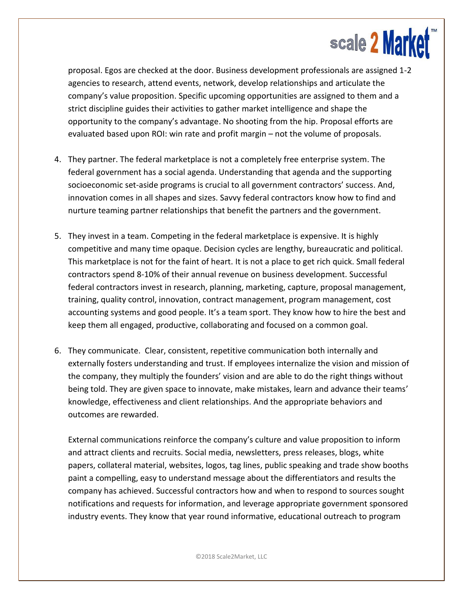

proposal. Egos are checked at the door. Business development professionals are assigned 1-2 agencies to research, attend events, network, develop relationships and articulate the company's value proposition. Specific upcoming opportunities are assigned to them and a strict discipline guides their activities to gather market intelligence and shape the opportunity to the company's advantage. No shooting from the hip. Proposal efforts are evaluated based upon ROI: win rate and profit margin – not the volume of proposals.

- 4. They partner. The federal marketplace is not a completely free enterprise system. The federal government has a social agenda. Understanding that agenda and the supporting socioeconomic set-aside programs is crucial to all government contractors' success. And, innovation comes in all shapes and sizes. Savvy federal contractors know how to find and nurture teaming partner relationships that benefit the partners and the government.
- 5. They invest in a team. Competing in the federal marketplace is expensive. It is highly competitive and many time opaque. Decision cycles are lengthy, bureaucratic and political. This marketplace is not for the faint of heart. It is not a place to get rich quick. Small federal contractors spend 8-10% of their annual revenue on business development. Successful federal contractors invest in research, planning, marketing, capture, proposal management, training, quality control, innovation, contract management, program management, cost accounting systems and good people. It's a team sport. They know how to hire the best and keep them all engaged, productive, collaborating and focused on a common goal.
- 6. They communicate. Clear, consistent, repetitive communication both internally and externally fosters understanding and trust. If employees internalize the vision and mission of the company, they multiply the founders' vision and are able to do the right things without being told. They are given space to innovate, make mistakes, learn and advance their teams' knowledge, effectiveness and client relationships. And the appropriate behaviors and outcomes are rewarded.

External communications reinforce the company's culture and value proposition to inform and attract clients and recruits. Social media, newsletters, press releases, blogs, white papers, collateral material, websites, logos, tag lines, public speaking and trade show booths paint a compelling, easy to understand message about the differentiators and results the company has achieved. Successful contractors how and when to respond to sources sought notifications and requests for information, and leverage appropriate government sponsored industry events. They know that year round informative, educational outreach to program